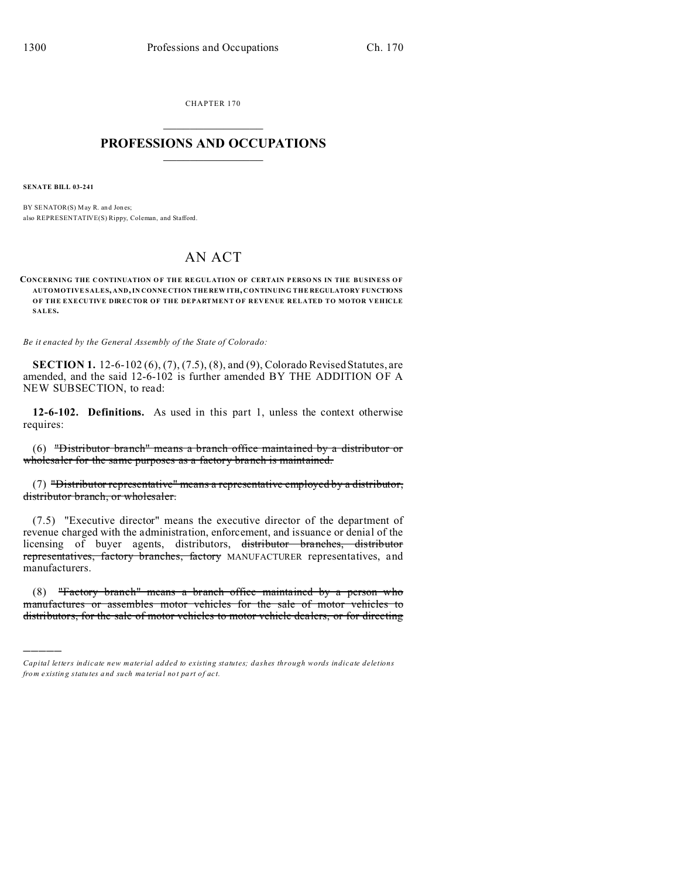CHAPTER 170  $\overline{\phantom{a}}$  , where  $\overline{\phantom{a}}$ 

## **PROFESSIONS AND OCCUPATIONS**  $\frac{1}{2}$  ,  $\frac{1}{2}$  ,  $\frac{1}{2}$  ,  $\frac{1}{2}$  ,  $\frac{1}{2}$  ,  $\frac{1}{2}$

**SENATE BILL 03-241**

)))))

BY SENATOR(S) May R. and Jones; also REPRESENTATIVE(S) Rippy, Coleman, and Stafford.

## AN ACT

**CONCERNING THE CONTINUATION OF THE REGULATION OF CERTAIN PERSONS IN THE BUSINESS OF AUTOMOTIVE SALES, AND, IN CONNE CTION THE REW ITH, CONTINUING THE REGULATORY FUNCTIONS OF THE EXECUTIVE DIRECTOR OF THE DEPARTMENT OF REVENUE RELATED TO MOTOR VEHICLE SALES.**

*Be it enacted by the General Assembly of the State of Colorado:*

**SECTION 1.** 12-6-102 (6), (7), (7.5), (8), and (9), Colorado Revised Statutes, are amended, and the said 12-6-102 is further amended BY THE ADDITION OF A NEW SUBSECTION, to read:

**12-6-102. Definitions.** As used in this part 1, unless the context otherwise requires:

(6) "Distributor branch" means a branch office maintained by a distributor or wholesaler for the same purposes as a factory branch is maintained.

(7) "Distributor representative" means a representative employed by a distributor, distributor branch, or wholesaler.

(7.5) "Executive director" means the executive director of the department of revenue charged with the administration, enforcement, and issuance or denial of the licensing of buyer agents, distributors, distributor branches, distributor representatives, factory branches, factory MANUFACTURER representatives, and manufacturers.

(8) "Factory branch" means a branch office maintained by a person who manufactures or assembles motor vehicles for the sale of motor vehicles to distributors, for the sale of motor vehicles to motor vehicle dealers, or for directing

*Capital letters indicate new material added to existing statutes; dashes through words indicate deletions from e xistin g statu tes a nd such ma teria l no t pa rt of ac t.*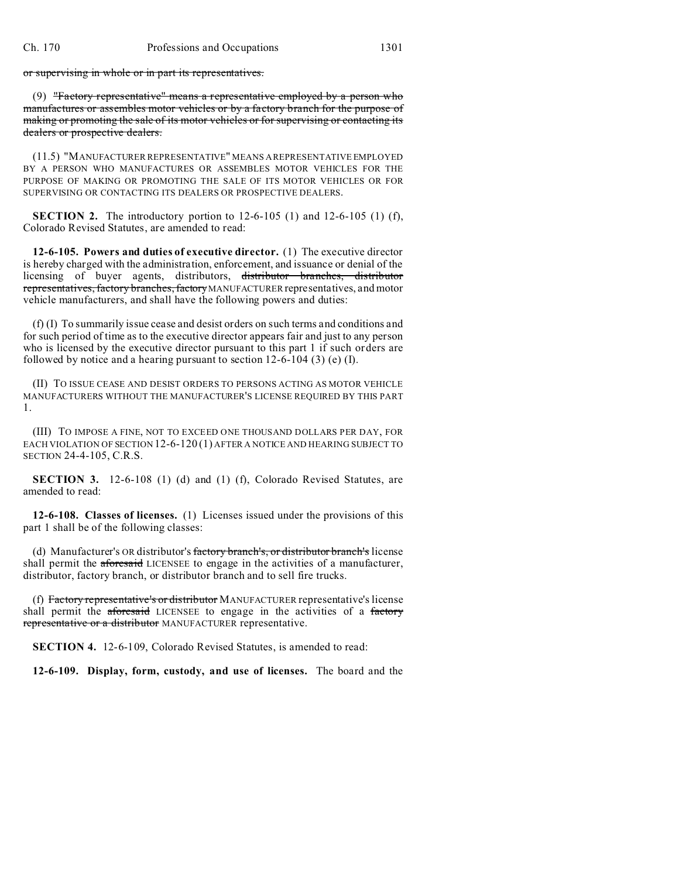or supervising in whole or in part its representatives.

(9) "Factory representative" means a representative employed by a person who manufactures or assembles motor vehicles or by a factory branch for the purpose of making or promoting the sale of its motor vehicles or for supervising or contacting its dealers or prospective dealers.

(11.5) "MANUFACTURER REPRESENTATIVE" MEANS A REPRESENTATIVE EMPLOYED BY A PERSON WHO MANUFACTURES OR ASSEMBLES MOTOR VEHICLES FOR THE PURPOSE OF MAKING OR PROMOTING THE SALE OF ITS MOTOR VEHICLES OR FOR SUPERVISING OR CONTACTING ITS DEALERS OR PROSPECTIVE DEALERS.

**SECTION 2.** The introductory portion to 12-6-105 (1) and 12-6-105 (1) (f), Colorado Revised Statutes, are amended to read:

**12-6-105. Powers and duties of executive director.** (1) The executive director is hereby charged with the administration, enforcement, and issuance or denial of the licensing of buyer agents, distributors, distributor branches, distributor representatives, factory branches, factory MANUFACTURER representatives, and motor vehicle manufacturers, and shall have the following powers and duties:

(f) (I) To summarily issue cease and desist orders on such terms and conditions and for such period of time as to the executive director appears fair and just to any person who is licensed by the executive director pursuant to this part 1 if such orders are followed by notice and a hearing pursuant to section 12-6-104 (3) (e) (I).

(II) TO ISSUE CEASE AND DESIST ORDERS TO PERSONS ACTING AS MOTOR VEHICLE MANUFACTURERS WITHOUT THE MANUFACTURER'S LICENSE REQUIRED BY THIS PART 1.

(III) TO IMPOSE A FINE, NOT TO EXCEED ONE THOUSAND DOLLARS PER DAY, FOR EACH VIOLATION OF SECTION 12-6-120 (1) AFTER A NOTICE AND HEARING SUBJECT TO SECTION 24-4-105, C.R.S.

**SECTION 3.** 12-6-108 (1) (d) and (1) (f), Colorado Revised Statutes, are amended to read:

**12-6-108. Classes of licenses.** (1) Licenses issued under the provisions of this part 1 shall be of the following classes:

(d) Manufacturer's OR distributor's factory branch's, or distributor branch's license shall permit the aforesaid LICENSEE to engage in the activities of a manufacturer, distributor, factory branch, or distributor branch and to sell fire trucks.

(f) Factory representative's or distributor MANUFACTURER representative's license shall permit the aforesaid LICENSEE to engage in the activities of a factory representative or a distributor MANUFACTURER representative.

**SECTION 4.** 12-6-109, Colorado Revised Statutes, is amended to read:

**12-6-109. Display, form, custody, and use of licenses.** The board and the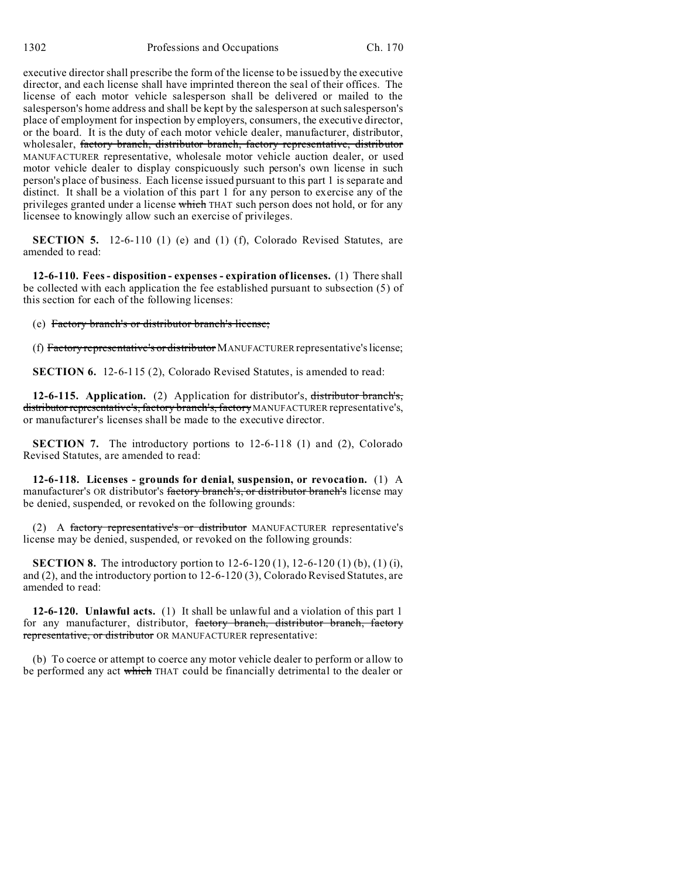executive director shall prescribe the form of the license to be issued by the executive director, and each license shall have imprinted thereon the seal of their offices. The license of each motor vehicle salesperson shall be delivered or mailed to the salesperson's home address and shall be kept by the salesperson at such salesperson's place of employment for inspection by employers, consumers, the executive director, or the board. It is the duty of each motor vehicle dealer, manufacturer, distributor, wholesaler, factory branch, distributor branch, factory representative, distributor MANUFACTURER representative, wholesale motor vehicle auction dealer, or used motor vehicle dealer to display conspicuously such person's own license in such person's place of business. Each license issued pursuant to this part 1 is separate and distinct. It shall be a violation of this part 1 for any person to exercise any of the privileges granted under a license which THAT such person does not hold, or for any licensee to knowingly allow such an exercise of privileges.

**SECTION 5.** 12-6-110 (1) (e) and (1) (f), Colorado Revised Statutes, are amended to read:

**12-6-110. Fees - disposition - expenses - expiration of licenses.** (1) There shall be collected with each application the fee established pursuant to subsection (5) of this section for each of the following licenses:

(e) Factory branch's or distributor branch's license;

(f) Factory representative's or distributor MANUFACTURER representative's license;

**SECTION 6.** 12-6-115 (2), Colorado Revised Statutes, is amended to read:

**12-6-115. Application.** (2) Application for distributor's, distributor branch's, distributor representative's, factory branch's, factory MANUFACTURER representative's, or manufacturer's licenses shall be made to the executive director.

**SECTION 7.** The introductory portions to 12-6-118 (1) and (2), Colorado Revised Statutes, are amended to read:

**12-6-118. Licenses - grounds for denial, suspension, or revocation.** (1) A manufacturer's OR distributor's factory branch's, or distributor branch's license may be denied, suspended, or revoked on the following grounds:

(2) A factory representative's or distributor MANUFACTURER representative's license may be denied, suspended, or revoked on the following grounds:

**SECTION 8.** The introductory portion to 12-6-120 (1), 12-6-120 (1) (b), (1) (i), and (2), and the introductory portion to 12-6-120 (3), Colorado Revised Statutes, are amended to read:

**12-6-120. Unlawful acts.** (1) It shall be unlawful and a violation of this part 1 for any manufacturer, distributor, factory branch, distributor branch, factory representative, or distributor OR MANUFACTURER representative:

(b) To coerce or attempt to coerce any motor vehicle dealer to perform or allow to be performed any act which THAT could be financially detrimental to the dealer or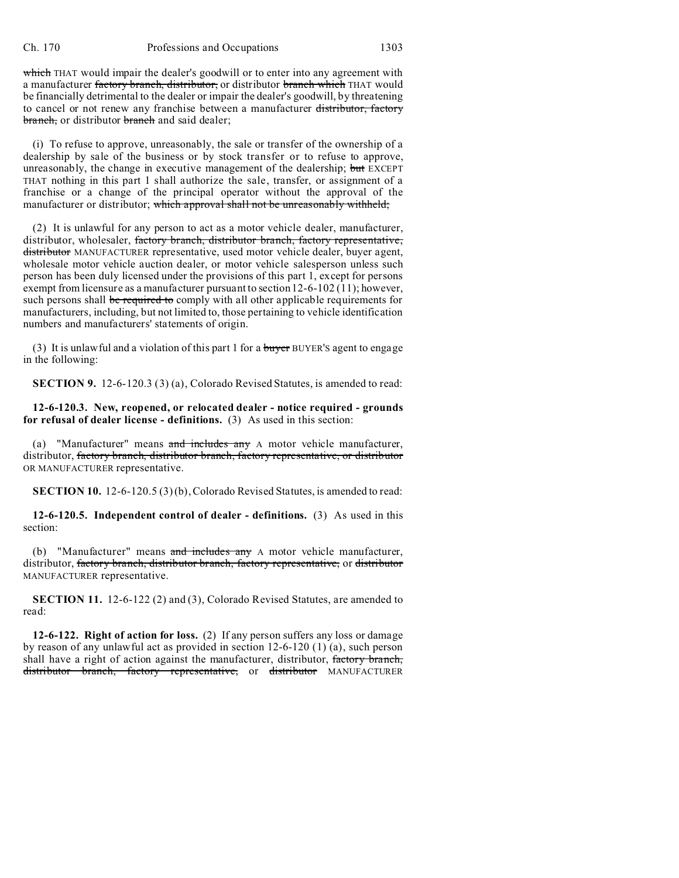which THAT would impair the dealer's goodwill or to enter into any agreement with a manufacturer factory branch, distributor, or distributor branch which THAT would be financially detrimental to the dealer or impair the dealer's goodwill, by threatening to cancel or not renew any franchise between a manufacturer distributor, factory branch, or distributor branch and said dealer;

(i) To refuse to approve, unreasonably, the sale or transfer of the ownership of a dealership by sale of the business or by stock transfer or to refuse to approve, unreasonably, the change in executive management of the dealership; but EXCEPT THAT nothing in this part 1 shall authorize the sale, transfer, or assignment of a franchise or a change of the principal operator without the approval of the manufacturer or distributor; which approval shall not be unreasonably withheld;

(2) It is unlawful for any person to act as a motor vehicle dealer, manufacturer, distributor, wholesaler, factory branch, distributor branch, factory representative, distributor MANUFACTURER representative, used motor vehicle dealer, buyer agent, wholesale motor vehicle auction dealer, or motor vehicle salesperson unless such person has been duly licensed under the provisions of this part 1, except for persons exempt from licensure as a manufacturer pursuant to section 12-6-102 (11); however, such persons shall be required to comply with all other applicable requirements for manufacturers, including, but not limited to, those pertaining to vehicle identification numbers and manufacturers' statements of origin.

(3) It is unlawful and a violation of this part 1 for a buyer BUYER's agent to engage in the following:

**SECTION 9.** 12-6-120.3 (3) (a), Colorado Revised Statutes, is amended to read:

**12-6-120.3. New, reopened, or relocated dealer - notice required - grounds for refusal of dealer license - definitions.** (3) As used in this section:

(a) "Manufacturer" means and includes any A motor vehicle manufacturer, distributor, factory branch, distributor branch, factory representative, or distributor OR MANUFACTURER representative.

**SECTION 10.** 12-6-120.5 (3) (b), Colorado Revised Statutes, is amended to read:

**12-6-120.5. Independent control of dealer - definitions.** (3) As used in this section:

(b) "Manufacturer" means and includes any A motor vehicle manufacturer, distributor, factory branch, distributor branch, factory representative, or distributor MANUFACTURER representative.

**SECTION 11.** 12-6-122 (2) and (3), Colorado Revised Statutes, are amended to read:

**12-6-122. Right of action for loss.** (2) If any person suffers any loss or damage by reason of any unlawful act as provided in section 12-6-120 (1) (a), such person shall have a right of action against the manufacturer, distributor, factory branch, distributor branch, factory representative, or distributor MANUFACTURER